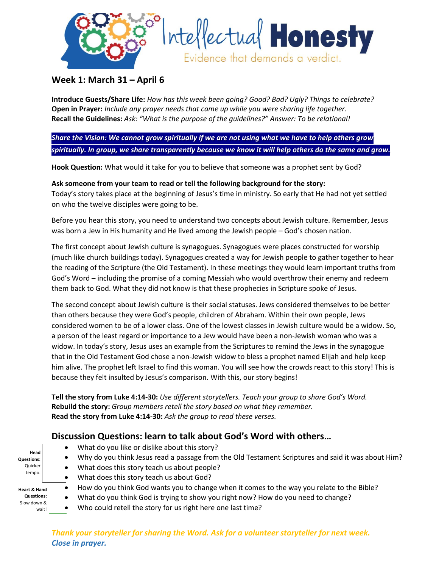



## **Week 1: March 31 – April 6**

**Introduce Guests/Share Life:** *How has this week been going? Good? Bad? Ugly? Things to celebrate?* **Open in Prayer:** *Include any prayer needs that came up while you were sharing life together.* **Recall the Guidelines:** *Ask: "What is the purpose of the guidelines?" Answer: To be relational!*

*Share the Vision: We cannot grow spiritually if we are not using what we have to help others grow spiritually. In group, we share transparently because we know it will help others do the same and grow.*

**Hook Question:** What would it take for you to believe that someone was a prophet sent by God?

## **Ask someone from your team to read or tell the following background for the story:** Today's story takes place at the beginning of Jesus's time in ministry. So early that He had not yet settled

on who the twelve disciples were going to be.

Before you hear this story, you need to understand two concepts about Jewish culture. Remember, Jesus was born a Jew in His humanity and He lived among the Jewish people – God's chosen nation.

The first concept about Jewish culture is synagogues. Synagogues were places constructed for worship (much like church buildings today). Synagogues created a way for Jewish people to gather together to hear the reading of the Scripture (the Old Testament). In these meetings they would learn important truths from God's Word – including the promise of a coming Messiah who would overthrow their enemy and redeem them back to God. What they did not know is that these prophecies in Scripture spoke of Jesus.

The second concept about Jewish culture is their social statuses. Jews considered themselves to be better than others because they were God's people, children of Abraham. Within their own people, Jews considered women to be of a lower class. One of the lowest classes in Jewish culture would be a widow. So, a person of the least regard or importance to a Jew would have been a non-Jewish woman who was a widow. In today's story, Jesus uses an example from the Scriptures to remind the Jews in the synagogue that in the Old Testament God chose a non-Jewish widow to bless a prophet named Elijah and help keep him alive. The prophet left Israel to find this woman. You will see how the crowds react to this story! This is because they felt insulted by Jesus's comparison. With this, our story begins!

**Tell the story from Luke 4:14-30:** *Use different storytellers. Teach your group to share God's Word.* **Rebuild the story:** *Group members retell the story based on what they remember.* **Read the story from Luke 4:14-30:** *Ask the group to read these verses.*

## **Discussion Questions: learn to talk about God's Word with others…**

- $\bullet$  What do you like or dislike about this story?
- Why do you think Jesus read a passage from the Old Testament Scriptures and said it was about Him?
- Quicker tempo. **Heart & Hand**

**Questions:**  Slow down & wait!

**Head Questions:**

- What does this story teach us about people?
- What does this story teach us about God?
- How do you think God wants you to change when it comes to the way you relate to the Bible?
- What do you think God is trying to show you right now? How do you need to change?
- Who could retell the story for us right here one last time?

*Thank your storyteller for sharing the Word. Ask for a volunteer storyteller for next week. Close in prayer.*